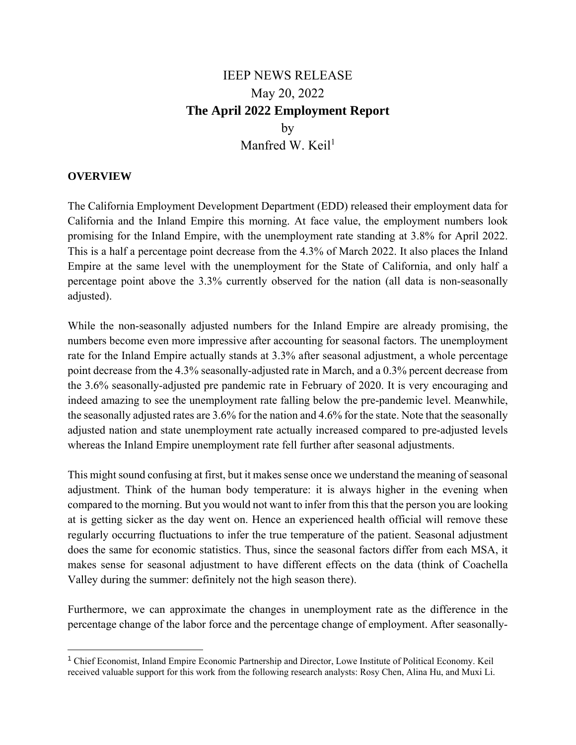## IEEP NEWS RELEASE May 20, 2022 **The April 2022 Employment Report**  by Manfred W. Keil $1$

## **OVERVIEW**

The California Employment Development Department (EDD) released their employment data for California and the Inland Empire this morning. At face value, the employment numbers look promising for the Inland Empire, with the unemployment rate standing at 3.8% for April 2022. This is a half a percentage point decrease from the 4.3% of March 2022. It also places the Inland Empire at the same level with the unemployment for the State of California, and only half a percentage point above the 3.3% currently observed for the nation (all data is non-seasonally adjusted).

While the non-seasonally adjusted numbers for the Inland Empire are already promising, the numbers become even more impressive after accounting for seasonal factors. The unemployment rate for the Inland Empire actually stands at 3.3% after seasonal adjustment, a whole percentage point decrease from the 4.3% seasonally-adjusted rate in March, and a 0.3% percent decrease from the 3.6% seasonally-adjusted pre pandemic rate in February of 2020. It is very encouraging and indeed amazing to see the unemployment rate falling below the pre-pandemic level. Meanwhile, the seasonally adjusted rates are 3.6% for the nation and 4.6% for the state. Note that the seasonally adjusted nation and state unemployment rate actually increased compared to pre-adjusted levels whereas the Inland Empire unemployment rate fell further after seasonal adjustments.

This might sound confusing at first, but it makes sense once we understand the meaning of seasonal adjustment. Think of the human body temperature: it is always higher in the evening when compared to the morning. But you would not want to infer from this that the person you are looking at is getting sicker as the day went on. Hence an experienced health official will remove these regularly occurring fluctuations to infer the true temperature of the patient. Seasonal adjustment does the same for economic statistics. Thus, since the seasonal factors differ from each MSA, it makes sense for seasonal adjustment to have different effects on the data (think of Coachella Valley during the summer: definitely not the high season there).

Furthermore, we can approximate the changes in unemployment rate as the difference in the percentage change of the labor force and the percentage change of employment. After seasonally-

<sup>1</sup> Chief Economist, Inland Empire Economic Partnership and Director, Lowe Institute of Political Economy. Keil received valuable support for this work from the following research analysts: Rosy Chen, Alina Hu, and Muxi Li.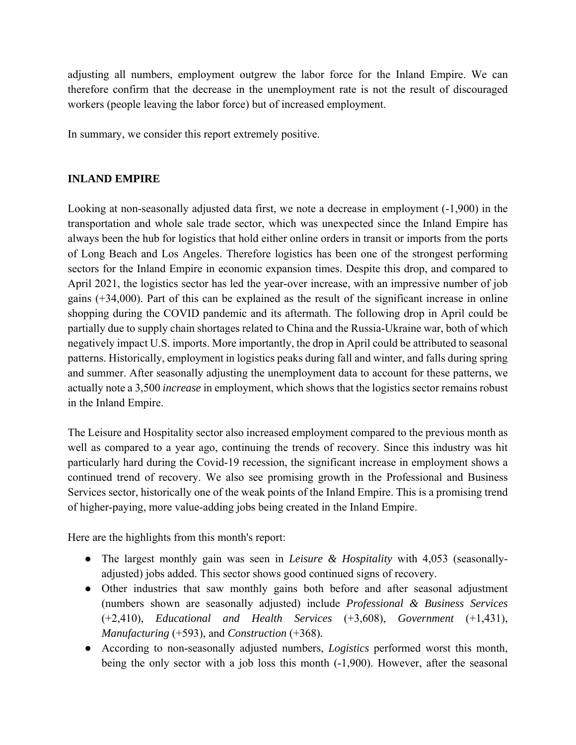adjusting all numbers, employment outgrew the labor force for the Inland Empire. We can therefore confirm that the decrease in the unemployment rate is not the result of discouraged workers (people leaving the labor force) but of increased employment.

In summary, we consider this report extremely positive.

## **INLAND EMPIRE**

Looking at non-seasonally adjusted data first, we note a decrease in employment (-1,900) in the transportation and whole sale trade sector, which was unexpected since the Inland Empire has always been the hub for logistics that hold either online orders in transit or imports from the ports of Long Beach and Los Angeles. Therefore logistics has been one of the strongest performing sectors for the Inland Empire in economic expansion times. Despite this drop, and compared to April 2021, the logistics sector has led the year-over increase, with an impressive number of job gains (+34,000). Part of this can be explained as the result of the significant increase in online shopping during the COVID pandemic and its aftermath. The following drop in April could be partially due to supply chain shortages related to China and the Russia-Ukraine war, both of which negatively impact U.S. imports. More importantly, the drop in April could be attributed to seasonal patterns. Historically, employment in logistics peaks during fall and winter, and falls during spring and summer. After seasonally adjusting the unemployment data to account for these patterns, we actually note a 3,500 *increase* in employment, which shows that the logistics sector remains robust in the Inland Empire.

The Leisure and Hospitality sector also increased employment compared to the previous month as well as compared to a year ago, continuing the trends of recovery. Since this industry was hit particularly hard during the Covid-19 recession, the significant increase in employment shows a continued trend of recovery. We also see promising growth in the Professional and Business Services sector, historically one of the weak points of the Inland Empire. This is a promising trend of higher-paying, more value-adding jobs being created in the Inland Empire.

Here are the highlights from this month's report:

- The largest monthly gain was seen in *Leisure & Hospitality* with 4,053 (seasonallyadjusted) jobs added. This sector shows good continued signs of recovery.
- Other industries that saw monthly gains both before and after seasonal adjustment (numbers shown are seasonally adjusted) include *Professional & Business Services*  (+2,410), *Educational and Health Services* (+3,608), *Government* (+1,431), *Manufacturing* (+593), and *Construction* (+368)*.*
- According to non-seasonally adjusted numbers, *Logistics* performed worst this month, being the only sector with a job loss this month (-1,900). However, after the seasonal